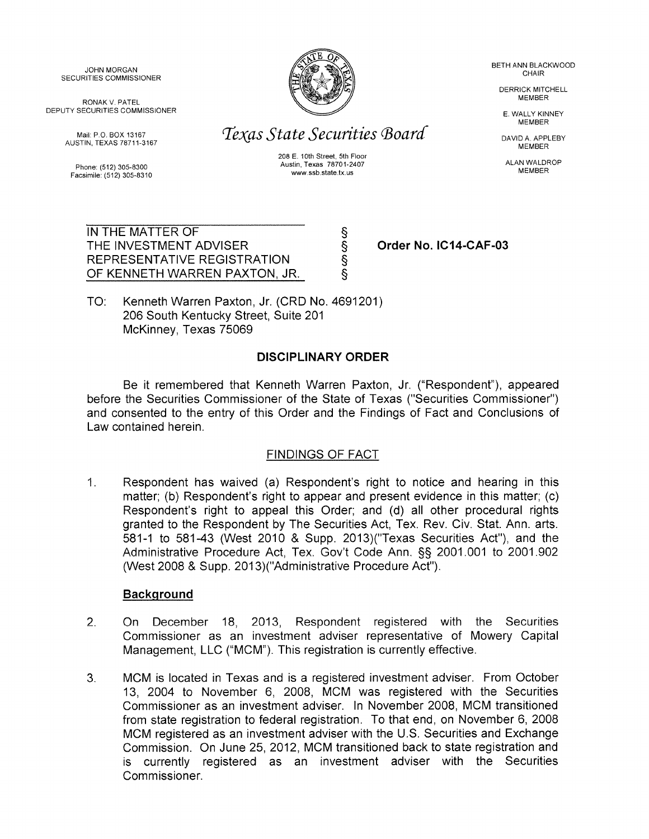JOHN MORGAN BETH ANN BLACKWOOD

DEPUTY SECURITIES COMMISSIONER E. WALLY KINNEY

Facsimile: (512) 305-8310



Mail: P.O. BOX 13167 **ISSUED TEXAS State Securities Board** DAVID A. APPLEBY AUSTIN, TEXAS 78711-3167

208 E. 10th Street, 5th Floor Phone: (512) 305-8300<br>Australian March 2007 Australian March 2007 Australian March 2007<br>Feorialla: (512) 305-8310

> § § § §

DERRICK MITCHELL<br>MEMBER

**MEMBER** 

IN THE MATTER OF THE INVESTMENT ADVISER REPRESENTATIVE REGISTRATION OF KENNETH WARREN PAXTON, JR.

**Order No. IC14-CAF-03** 

TO: Kenneth Warren Paxton, Jr. (CRD No. 4691201) 206 South Kentucky Street, Suite 201 McKinney, Texas 75069

# **DISCIPLINARY ORDER**

Be it remembered that Kenneth Warren Paxton, Jr. ("Respondent"), appeared before the Securities Commissioner of the State of Texas ("Securities Commissioner") and consented to the entry of this Order and the Findings of Fact and Conclusions of Law contained herein.

# FINDINGS OF FACT

1. Respondent has waived (a) Respondent's right to notice and hearing in this matter; (b) Respondent's right to appear and present evidence in this matter; (c) Respondent's right to appeal this Order; and (d) all other procedural rights granted to the Respondent by The Securities Act, Tex. Rev. Civ. Stat. Ann. arts. 581-1 to 581-43 (West 2010 & Supp. 2013)("Texas Securities Act"), and the Administrative Procedure Act, Tex. Gov't Code Ann. §§ 2001.001 to 2001.902 (West 2008 & Supp. 2013)("Administrative Procedure Act").

## **Background**

- 2. On December 18, 2013, Respondent registered with the Securities Commissioner as an investment adviser representative of Mowery Capital Management, LLC ("MCM"). This registration is currently effective.
- 3. MCM is located in Texas and is a registered investment adviser. From October 13, 2004 to November 6, 2008, MCM was registered with the Securities Commissioner as an investment adviser. In November 2008, MCM transitioned from state registration to federal registration. To that end, on November 6, 2008 MCM registered as an investment adviser with the U.S. Securities and Exchange Commission. On June 25, 2012, MCM transitioned back to state registration and is currently registered as an investment adviser with the Securities Commissioner.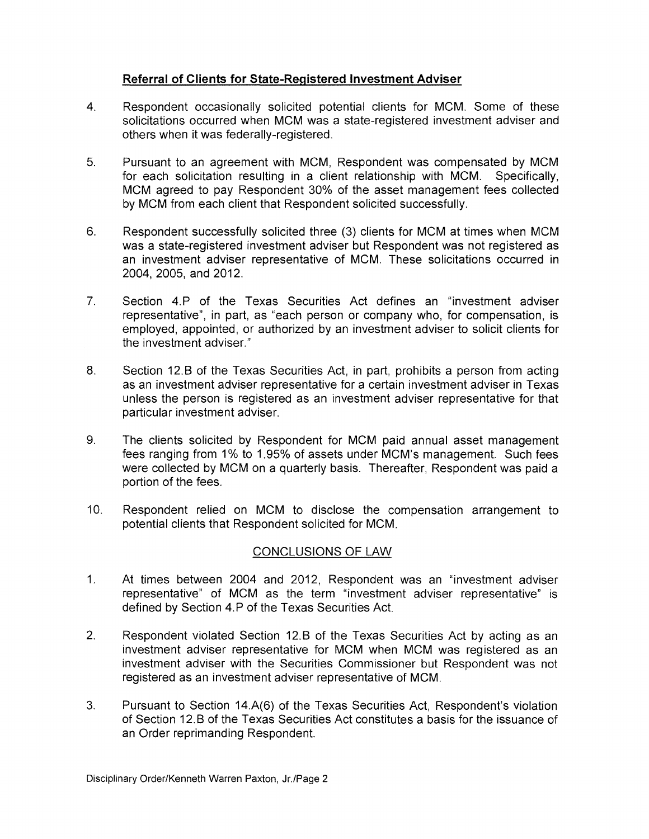## **Referral of Clients for State-Registered Investment Adviser**

- 4. Respondent occasionally solicited potential clients for MCM. Some of these solicitations occurred when MCM was a state-registered investment adviser and others when it was federally-registered.
- 5. Pursuant to an agreement with MCM, Respondent was compensated by MCM for each solicitation resulting in a client relationship with MCM. Specifically, MCM agreed to pay Respondent 30% of the asset management fees collected by MCM from each client that Respondent solicited successfully.
- 6. Respondent successfully solicited three (3) clients for MCM at times when MCM was a state-registered investment adviser but Respondent was not registered as an investment adviser representative of MCM. These solicitations occurred in 2004, 2005, and 2012.
- 7. Section 4.P of the Texas Securities Act defines an "investment adviser representative", in part, as "each person or company who, for compensation, is employed, appointed, or authorized by an investment adviser to solicit clients for the investment adviser."
- 8. Section 12.B of the Texas Securities Act, in part, prohibits a person from acting as an investment adviser representative for a certain investment adviser in Texas unless the person is registered as an investment adviser representative for that particular investment adviser.
- 9. The clients solicited by Respondent for MCM paid annual asset management fees ranging from 1% to 1.95% of assets under MCM's management. Such fees were collected by MCM on a quarterly basis. Thereafter, Respondent was paid a portion of the fees.
- 10. Respondent relied on MCM to disclose the compensation arrangement to potential clients that Respondent solicited for MCM.

## CONCLUSIONS OF LAW

- 1. At times between 2004 and 2012, Respondent was an "investment adviser representative" of MCM as the term "investment adviser representative" is defined by Section 4.P of the Texas Securities Act.
- 2. Respondent violated Section 12.B of the Texas Securities Act by acting as an investment adviser representative for MCM when MCM was registered as an investment adviser with the Securities Commissioner but Respondent was not registered as an investment adviser representative of MCM.
- 3. Pursuant to Section 14.A(6) of the Texas Securities Act, Respondent's violation of Section 12.B of the Texas Securities Act constitutes a basis for the issuance of an Order reprimanding Respondent.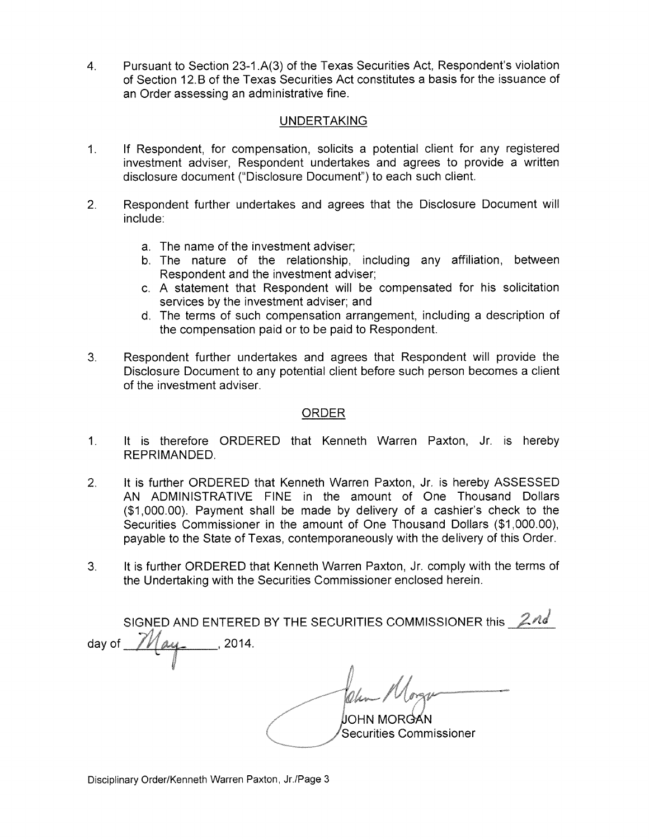4. Pursuant to Section 23-1.A(3) of the Texas Securities Act, Respondent's violation of Section 12. B of the Texas Securities Act constitutes a basis for the issuance of an Order assessing an administrative fine.

### UNDERTAKING

- 1. If Respondent, for compensation, solicits a potential client for any registered investment adviser, Respondent undertakes and agrees to provide a written disclosure document ("Disclosure Document") to each such client.
- 2. Respondent further undertakes and agrees that the Disclosure Document will include:
	- a. The name of the investment adviser;
	- b. The nature of the relationship, including any affiliation, between Respondent and the investment adviser;
	- c. A statement that Respondent will be compensated for his solicitation services by the investment adviser; and
	- d. The terms of such compensation arrangement, including a description of the compensation paid or to be paid to Respondent.
- 3. Respondent further undertakes and agrees that Respondent will provide the Disclosure Document to any potential client before such person becomes a client of the investment adviser.

### ORDER

- 1. It is therefore ORDERED that Kenneth Warren Paxton, Jr. is hereby REPRIMANDED.
- 2. It is further ORDERED that Kenneth Warren Paxton, Jr. is hereby ASSESSED AN ADMINISTRATIVE FINE in the amount of One Thousand Dollars (\$1,000.00). Payment shall be made by delivery of a cashier's check to the Securities Commissioner in the amount of One Thousand Dollars (\$1,000.00), payable to the State of Texas, contemporaneously with the delivery of this Order.
- 3. It is further ORDERED that Kenneth Warren Paxton, Jr. comply with the terms of the Undertaking with the Securities Commissioner enclosed herein.

SIGNED AND ENTERED BY THE SECURITIES COMMISSIONER this  $2nd$ day of  $\frac{\gamma}{\gamma}$   $\alpha$   $\gamma$  2014. JOHN MORGAN Securities Commissioner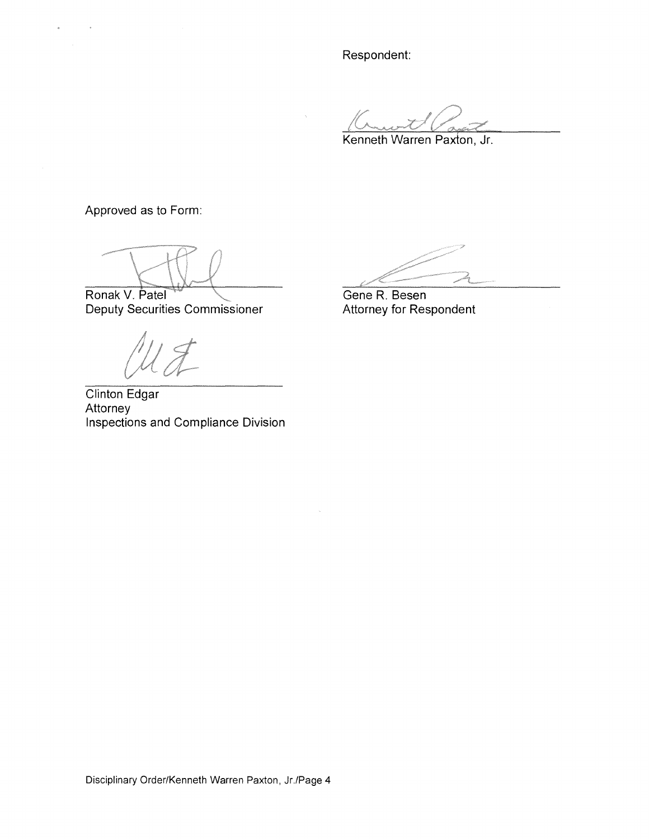Respondent:

Kenneth Warren Paxton, Jr.

Approved as to Form:

Ronak V. Patel

Deputy Securities Commissioner

Clinton Edgar Attorney Inspections and Compliance Division

Gene R. Besen Attorney for Respondent